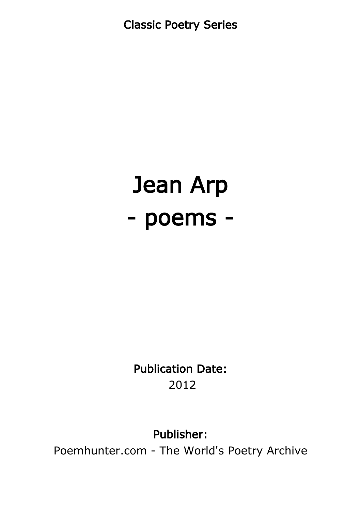Classic Poetry Series

# Jean Arp - poems -

Publication Date: 2012

## Publisher:

Poemhunter.com - The World's Poetry Archive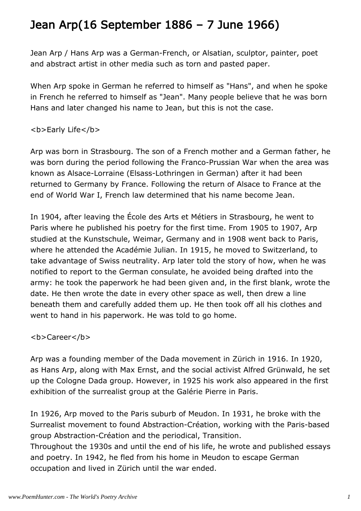# Jean Arp(16 September 1886 – 7 June 1966)

Jean Arp / Hans Arp was a German-French, or Alsatian, sculptor, painter, poet and abstract artist in other media such as torn and pasted paper.

When Arp spoke in German he referred to himself as "Hans", and when he spoke in French he referred to himself as "Jean". Many people believe that he was born Hans and later changed his name to Jean, but this is not the case.

## <b>Early Life</b>

Arp was born in Strasbourg. The son of a French mother and a German father, he was born during the period following the Franco-Prussian War when the area was known as Alsace-Lorraine (Elsass-Lothringen in German) after it had been returned to Germany by France. Following the return of Alsace to France at the end of World War I, French law determined that his name become Jean.

In 1904, after leaving the École des Arts et Métiers in Strasbourg, he went to Paris where he published his poetry for the first time. From 1905 to 1907, Arp studied at the Kunstschule, Weimar, Germany and in 1908 went back to Paris, where he attended the Académie Julian. In 1915, he moved to Switzerland, to take advantage of Swiss neutrality. Arp later told the story of how, when he was notified to report to the German consulate, he avoided being drafted into the army: he took the paperwork he had been given and, in the first blank, wrote the date. He then wrote the date in every other space as well, then drew a line beneath them and carefully added them up. He then took off all his clothes and went to hand in his paperwork. He was told to go home.

#### <b>Career</b>

Arp was a founding member of the Dada movement in Zürich in 1916. In 1920, as Hans Arp, along with Max Ernst, and the social activist Alfred Grünwald, he set up the Cologne Dada group. However, in 1925 his work also appeared in the first exhibition of the surrealist group at the Galérie Pierre in Paris.

In 1926, Arp moved to the Paris suburb of Meudon. In 1931, he broke with the Surrealist movement to found Abstraction-Création, working with the Paris-based group Abstraction-Création and the periodical, Transition.

Throughout the 1930s and until the end of his life, he wrote and published essays and poetry. In 1942, he fled from his home in Meudon to escape German occupation and lived in Zürich until the war ended.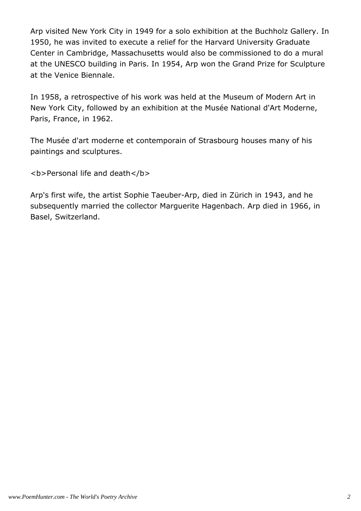Arp visited New York City in 1949 for a solo exhibition at the Buchholz Gallery. In 1950, he was invited to execute a relief for the Harvard University Graduate Center in Cambridge, Massachusetts would also be commissioned to do a mural at the UNESCO building in Paris. In 1954, Arp won the Grand Prize for Sculpture at the Venice Biennale.

In 1958, a retrospective of his work was held at the Museum of Modern Art in New York City, followed by an exhibition at the Musée National d'Art Moderne, Paris, France, in 1962.

The Musée d'art moderne et contemporain of Strasbourg houses many of his paintings and sculptures.

<b>Personal life and death</b>

Arp's first wife, the artist Sophie Taeuber-Arp, died in Zürich in 1943, and he subsequently married the collector Marguerite Hagenbach. Arp died in 1966, in Basel, Switzerland.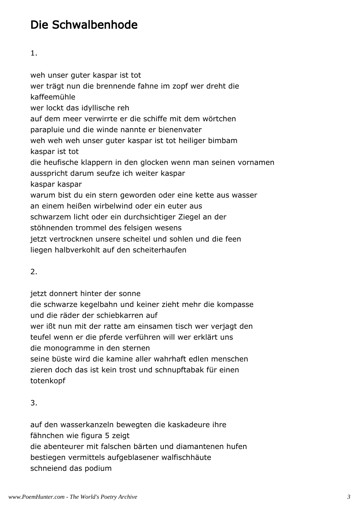# Die Schwalbenhode

1.

weh unser guter kaspar ist tot wer trägt nun die brennende fahne im zopf wer dreht die kaffeemühle wer lockt das idyllische reh auf dem meer verwirrte er die schiffe mit dem wörtchen parapluie und die winde nannte er bienenvater weh weh weh unser guter kaspar ist tot heiliger bimbam kaspar ist tot die heufische klappern in den glocken wenn man seinen vornamen ausspricht darum seufze ich weiter kaspar kaspar kaspar warum bist du ein stern geworden oder eine kette aus wasser an einem heißen wirbelwind oder ein euter aus schwarzem licht oder ein durchsichtiger Ziegel an der stöhnenden trommel des felsigen wesens jetzt vertrocknen unsere scheitel und sohlen und die feen liegen halbverkohlt auf den scheiterhaufen

## 2.

jetzt donnert hinter der sonne

die schwarze kegelbahn und keiner zieht mehr die kompasse und die räder der schiebkarren auf wer ißt nun mit der ratte am einsamen tisch wer verjagt den teufel wenn er die pferde verführen will wer erklärt uns die monogramme in den sternen seine büste wird die kamine aller wahrhaft edlen menschen zieren doch das ist kein trost und schnupftabak für einen totenkopf

3.

auf den wasserkanzeln bewegten die kaskadeure ihre fähnchen wie figura 5 zeigt die abenteurer mit falschen bärten und diamantenen hufen bestiegen vermittels aufgeblasener walfischhäute schneiend das podium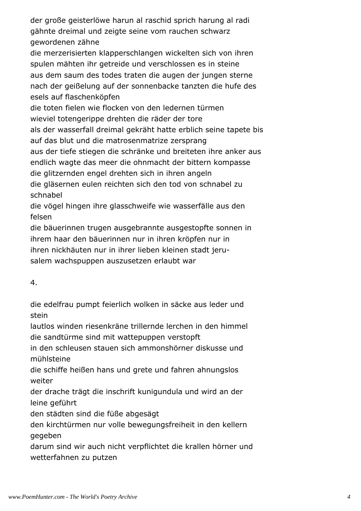der große geisterlöwe harun al raschid sprich harung al radi gähnte dreimal und zeigte seine vom rauchen schwarz gewordenen zähne

die merzerisierten klapperschlangen wickelten sich von ihren spulen mähten ihr getreide und verschlossen es in steine aus dem saum des todes traten die augen der jungen sterne nach der geißelung auf der sonnenbacke tanzten die hufe des esels auf flaschenköpfen

die toten fielen wie flocken von den ledernen türmen wieviel totengerippe drehten die räder der tore als der wasserfall dreimal gekräht hatte erblich seine tapete bis auf das blut und die matrosenmatrize zersprang aus der tiefe stiegen die schränke und breiteten ihre anker aus endlich wagte das meer die ohnmacht der bittern kompasse die glitzernden engel drehten sich in ihren angeln die gläsernen eulen reichten sich den tod von schnabel zu schnabel

die vögel hingen ihre glasschweife wie wasserfälle aus den felsen

die bäuerinnen trugen ausgebrannte ausgestopfte sonnen in ihrem haar den bäuerinnen nur in ihren kröpfen nur in ihren nickhäuten nur in ihrer lieben kleinen stadt jerusalem wachspuppen auszusetzen erlaubt war

4.

die edelfrau pumpt feierlich wolken in säcke aus leder und stein

lautlos winden riesenkräne trillernde lerchen in den himmel die sandtürme sind mit wattepuppen verstopft

in den schleusen stauen sich ammonshörner diskusse und mühlsteine

die schiffe heißen hans und grete und fahren ahnungslos weiter

der drache trägt die inschrift kunigundula und wird an der leine geführt

den städten sind die füße abgesägt

den kirchtürmen nur volle bewegungsfreiheit in den kellern gegeben

darum sind wir auch nicht verpflichtet die krallen hörner und wetterfahnen zu putzen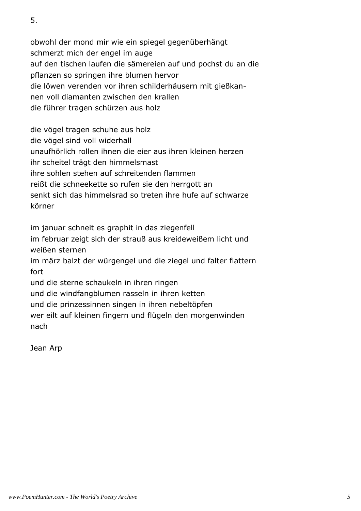obwohl der mond mir wie ein spiegel gegenüberhängt schmerzt mich der engel im auge auf den tischen laufen die sämereien auf und pochst du an die pflanzen so springen ihre blumen hervor die löwen verenden vor ihren schilderhäusern mit gießkan-

nen voll diamanten zwischen den krallen

die führer tragen schürzen aus holz

die vögel tragen schuhe aus holz die vögel sind voll widerhall unaufhörlich rollen ihnen die eier aus ihren kleinen herzen ihr scheitel trägt den himmelsmast ihre sohlen stehen auf schreitenden flammen reißt die schneekette so rufen sie den herrgott an senkt sich das himmelsrad so treten ihre hufe auf schwarze körner

im januar schneit es graphit in das ziegenfell im februar zeigt sich der strauß aus kreideweißem licht und weißen sternen im märz balzt der würgengel und die ziegel und falter flattern fort und die sterne schaukeln in ihren ringen und die windfangblumen rasseln in ihren ketten und die prinzessinnen singen in ihren nebeltöpfen wer eilt auf kleinen fingern und flügeln den morgenwinden nach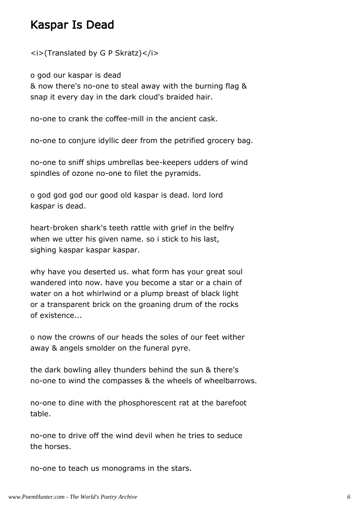## Kaspar Is Dead

<i>(Translated by G P Skratz)</i>

o god our kaspar is dead

& now there's no-one to steal away with the burning flag & snap it every day in the dark cloud's braided hair.

no-one to crank the coffee-mill in the ancient cask.

no-one to conjure idyllic deer from the petrified grocery bag.

no-one to sniff ships umbrellas bee-keepers udders of wind spindles of ozone no-one to filet the pyramids.

o god god god our good old kaspar is dead. lord lord kaspar is dead.

heart-broken shark's teeth rattle with grief in the belfry when we utter his given name. so i stick to his last, sighing kaspar kaspar kaspar.

why have you deserted us. what form has your great soul wandered into now. have you become a star or a chain of water on a hot whirlwind or a plump breast of black light or a transparent brick on the groaning drum of the rocks of existence...

o now the crowns of our heads the soles of our feet wither away & angels smolder on the funeral pyre.

the dark bowling alley thunders behind the sun & there's no-one to wind the compasses & the wheels of wheelbarrows.

no-one to dine with the phosphorescent rat at the barefoot table.

no-one to drive off the wind devil when he tries to seduce the horses.

no-one to teach us monograms in the stars.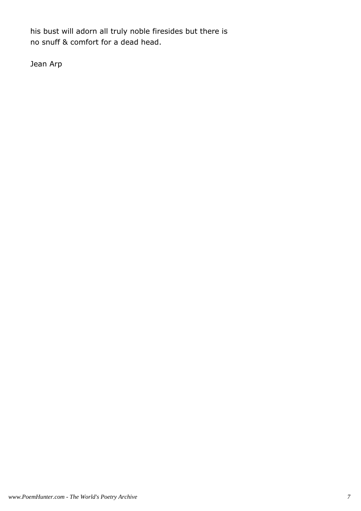his bust will adorn all truly noble firesides but there is no snuff & comfort for a dead head.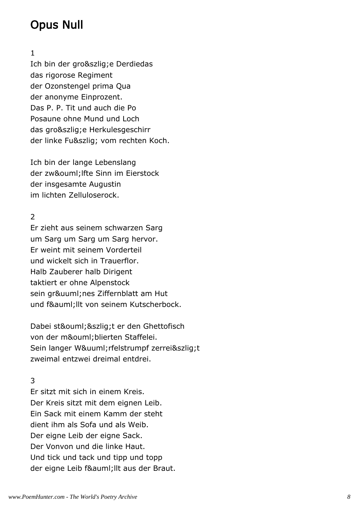# Opus Null

#### 1

Ich bin der groß e Derdiedas das rigorose Regiment der Ozonstengel prima Qua der anonyme Einprozent. Das P. P. Tit und auch die Po Posaune ohne Mund und Loch das große Herkulesgeschirr der linke Fuß vom rechten Koch.

Ich bin der lange Lebenslang der zwö Ifte Sinn im Eierstock der insgesamte Augustin im lichten Zelluloserock.

#### $\overline{2}$

Er zieht aus seinem schwarzen Sarg um Sarg um Sarg um Sarg hervor. Er weint mit seinem Vorderteil und wickelt sich in Trauerflor. Halb Zauberer halb Dirigent taktiert er ohne Alpenstock sein grünes Ziffernblatt am Hut und fä Ilt von seinem Kutscherbock.

Dabei stö & szlig; t er den Ghettofisch von der mö blierten Staffelei. Sein langer Wü rfelstrumpf zerreißt zweimal entzwei dreimal entdrei.

## 3

Er sitzt mit sich in einem Kreis. Der Kreis sitzt mit dem eignen Leib. Ein Sack mit einem Kamm der steht dient ihm als Sofa und als Weib. Der eigne Leib der eigne Sack. Der Vonvon und die linke Haut. Und tick und tack und tipp und topp der eigne Leib fä Ilt aus der Braut.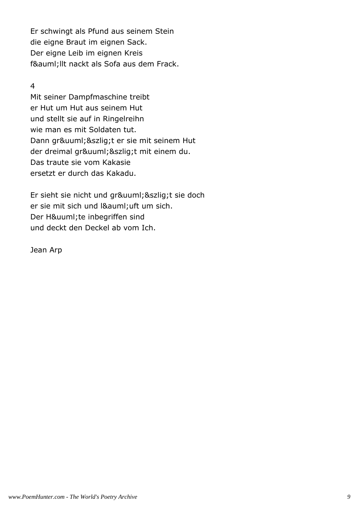Er schwingt als Pfund aus seinem Stein die eigne Braut im eignen Sack. Der eigne Leib im eignen Kreis fä Ilt nackt als Sofa aus dem Frack.

#### 4

Mit seiner Dampfmaschine treibt er Hut um Hut aus seinem Hut und stellt sie auf in Ringelreihn wie man es mit Soldaten tut. Dann grüßt er sie mit seinem Hut der dreimal grüßt mit einem du. Das traute sie vom Kakasie ersetzt er durch das Kakadu.

Er sieht sie nicht und grü & szlig; t sie doch er sie mit sich und lä uft um sich. Der Hü te inbegriffen sind und deckt den Deckel ab vom Ich.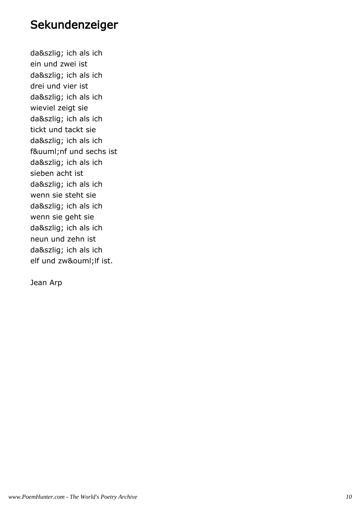## Sekundenzeiger

daß ich als ich ein und zwei ist daß ich als ich drei und vier ist daß ich als ich wieviel zeigt sie daß ich als ich tickt und tackt sie daß ich als ich fünf und sechs ist daß ich als ich sieben acht ist daß ich als ich wenn sie steht sie daß ich als ich wenn sie geht sie daß ich als ich neun und zehn ist daß ich als ich elf und zwö If ist.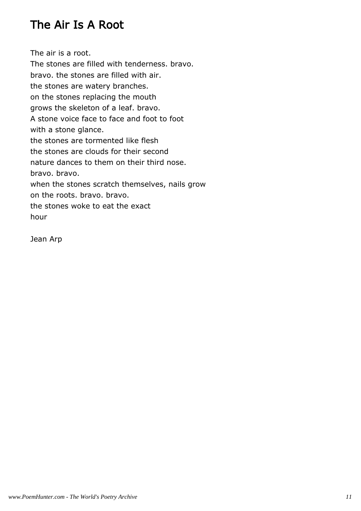## The Air Is A Root

The air is a root. The stones are filled with tenderness. bravo. bravo. the stones are filled with air. the stones are watery branches. on the stones replacing the mouth grows the skeleton of a leaf. bravo. A stone voice face to face and foot to foot with a stone glance. the stones are tormented like flesh the stones are clouds for their second nature dances to them on their third nose. bravo. bravo. when the stones scratch themselves, nails grow on the roots. bravo. bravo. the stones woke to eat the exact hour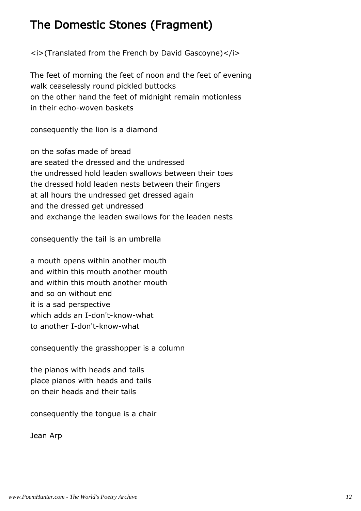# The Domestic Stones (Fragment)

<i>(Translated from the French by David Gascoyne)</i>

The feet of morning the feet of noon and the feet of evening walk ceaselessly round pickled buttocks on the other hand the feet of midnight remain motionless in their echo-woven baskets

consequently the lion is a diamond

on the sofas made of bread are seated the dressed and the undressed the undressed hold leaden swallows between their toes the dressed hold leaden nests between their fingers at all hours the undressed get dressed again and the dressed get undressed and exchange the leaden swallows for the leaden nests

consequently the tail is an umbrella

a mouth opens within another mouth and within this mouth another mouth and within this mouth another mouth and so on without end it is a sad perspective which adds an I-don't-know-what to another I-don't-know-what

consequently the grasshopper is a column

the pianos with heads and tails place pianos with heads and tails on their heads and their tails

consequently the tongue is a chair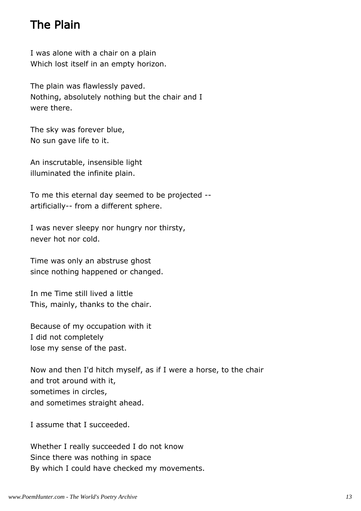## The Plain

I was alone with a chair on a plain Which lost itself in an empty horizon.

The plain was flawlessly paved. Nothing, absolutely nothing but the chair and I were there.

The sky was forever blue, No sun gave life to it.

An inscrutable, insensible light illuminated the infinite plain.

To me this eternal day seemed to be projected - artificially-- from a different sphere.

I was never sleepy nor hungry nor thirsty, never hot nor cold.

Time was only an abstruse ghost since nothing happened or changed.

In me Time still lived a little This, mainly, thanks to the chair.

Because of my occupation with it I did not completely lose my sense of the past.

Now and then I'd hitch myself, as if I were a horse, to the chair and trot around with it, sometimes in circles, and sometimes straight ahead.

I assume that I succeeded.

Whether I really succeeded I do not know Since there was nothing in space By which I could have checked my movements.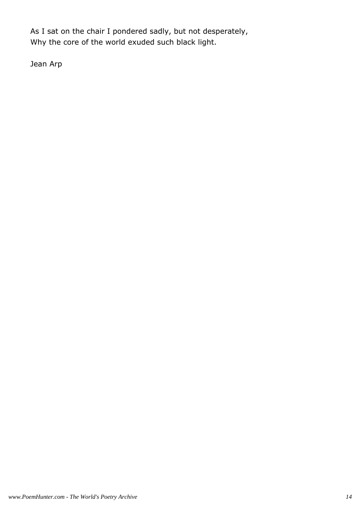As I sat on the chair I pondered sadly, but not desperately, Why the core of the world exuded such black light.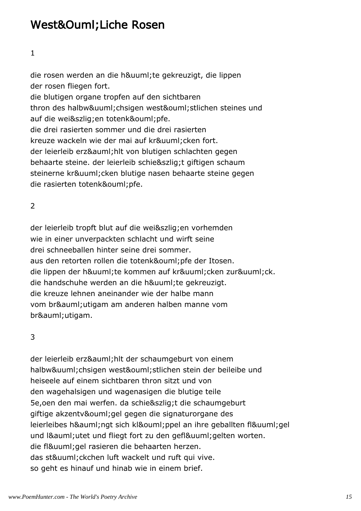## WestÖ Liche Rosen

## 1

die rosen werden an die hü te gekreuzigt, die lippen der rosen fliegen fort. die blutigen organe tropfen auf den sichtbaren thron des halbwü chsigen westö stlichen steines und auf die weiß en totenkö pfe. die drei rasierten sommer und die drei rasierten kreuze wackeln wie der mai auf krü cken fort. der leierleib erzä hlt von blutigen schlachten gegen behaarte steine. der leierleib schießt giftigen schaum steinerne krü cken blutige nasen behaarte steine gegen die rasierten totenkö pfe.

## $\overline{2}$

der leierleib tropft blut auf die weiß en vorhemden wie in einer unverpackten schlacht und wirft seine drei schneeballen hinter seine drei sommer. aus den retorten rollen die totenkö pfe der Itosen. die lippen der hüte kommen auf krücken zurück. die handschuhe werden an die hü te gekreuzigt. die kreuze lehnen aneinander wie der halbe mann vom brä utigam am anderen halben manne vom bräutigam.

#### 3

der leierleib erzä hlt der schaumgeburt von einem halbwü chsigen westö stlichen stein der beileibe und heiseele auf einem sichtbaren thron sitzt und von den wagehalsigen und wagenasigen die blutige teile 5e, oen den mai werfen. da schießt die schaumgeburt giftige akzentvö gel gegen die signaturorgane des leierleibes hä ngt sich klö ppel an ihre geballten flü gel und lä utet und fliegt fort zu den geflü gelten worten. die flü gel rasieren die behaarten herzen. das stü ckchen luft wackelt und ruft qui vive. so geht es hinauf und hinab wie in einem brief.